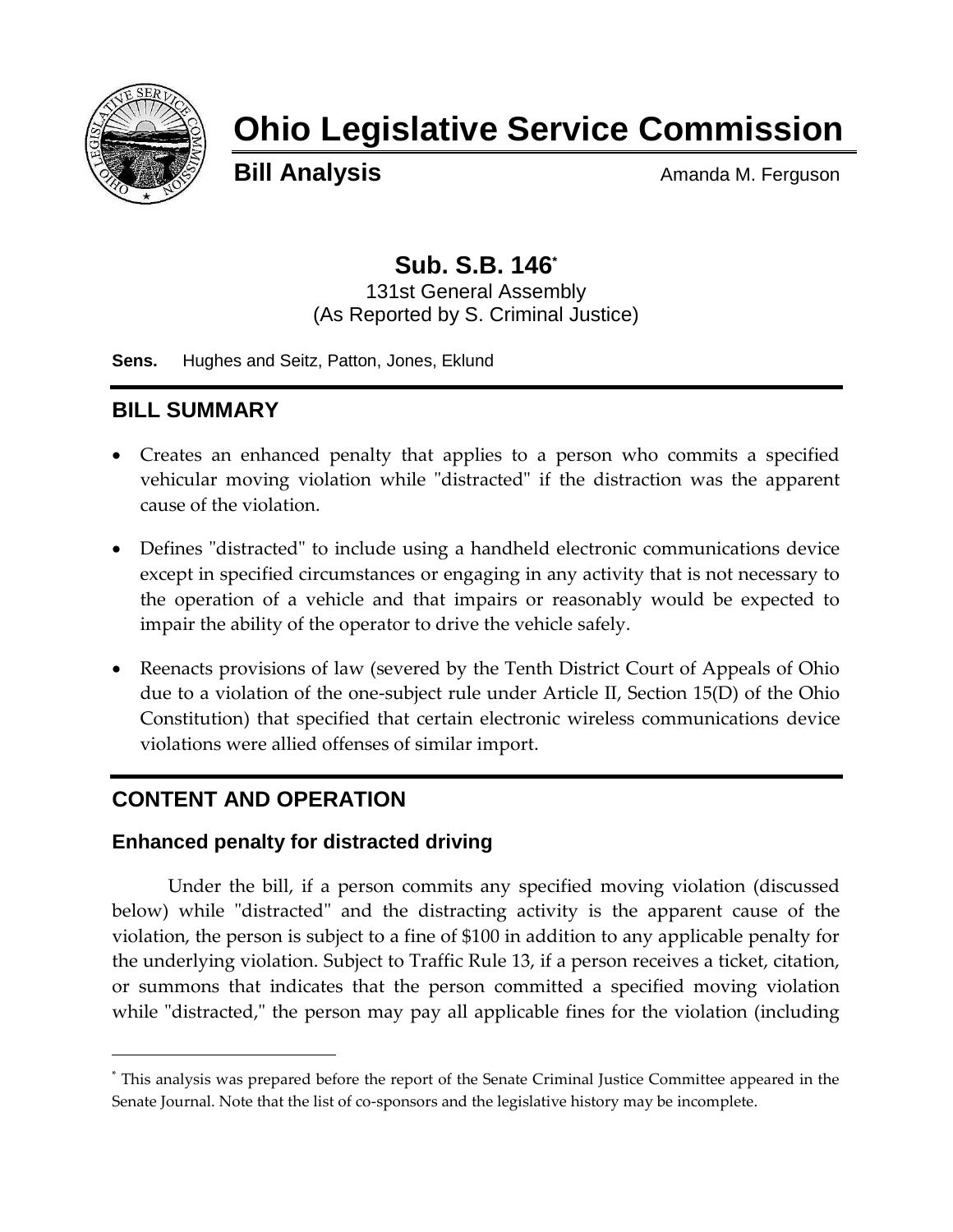

# **Ohio Legislative Service Commission**

**Bill Analysis** Amanda M. Ferguson

## **Sub. S.B. 146\***

131st General Assembly (As Reported by S. Criminal Justice)

**Sens.** Hughes and Seitz, Patton, Jones, Eklund

## **BILL SUMMARY**

- Creates an enhanced penalty that applies to a person who commits a specified vehicular moving violation while "distracted" if the distraction was the apparent cause of the violation.
- Defines "distracted" to include using a handheld electronic communications device except in specified circumstances or engaging in any activity that is not necessary to the operation of a vehicle and that impairs or reasonably would be expected to impair the ability of the operator to drive the vehicle safely.
- Reenacts provisions of law (severed by the Tenth District Court of Appeals of Ohio due to a violation of the one-subject rule under Article II, Section 15(D) of the Ohio Constitution) that specified that certain electronic wireless communications device violations were allied offenses of similar import.

## **CONTENT AND OPERATION**

l

#### **Enhanced penalty for distracted driving**

Under the bill, if a person commits any specified moving violation (discussed below) while "distracted" and the distracting activity is the apparent cause of the violation, the person is subject to a fine of \$100 in addition to any applicable penalty for the underlying violation. Subject to Traffic Rule 13, if a person receives a ticket, citation, or summons that indicates that the person committed a specified moving violation while "distracted," the person may pay all applicable fines for the violation (including

<sup>\*</sup> This analysis was prepared before the report of the Senate Criminal Justice Committee appeared in the Senate Journal. Note that the list of co-sponsors and the legislative history may be incomplete.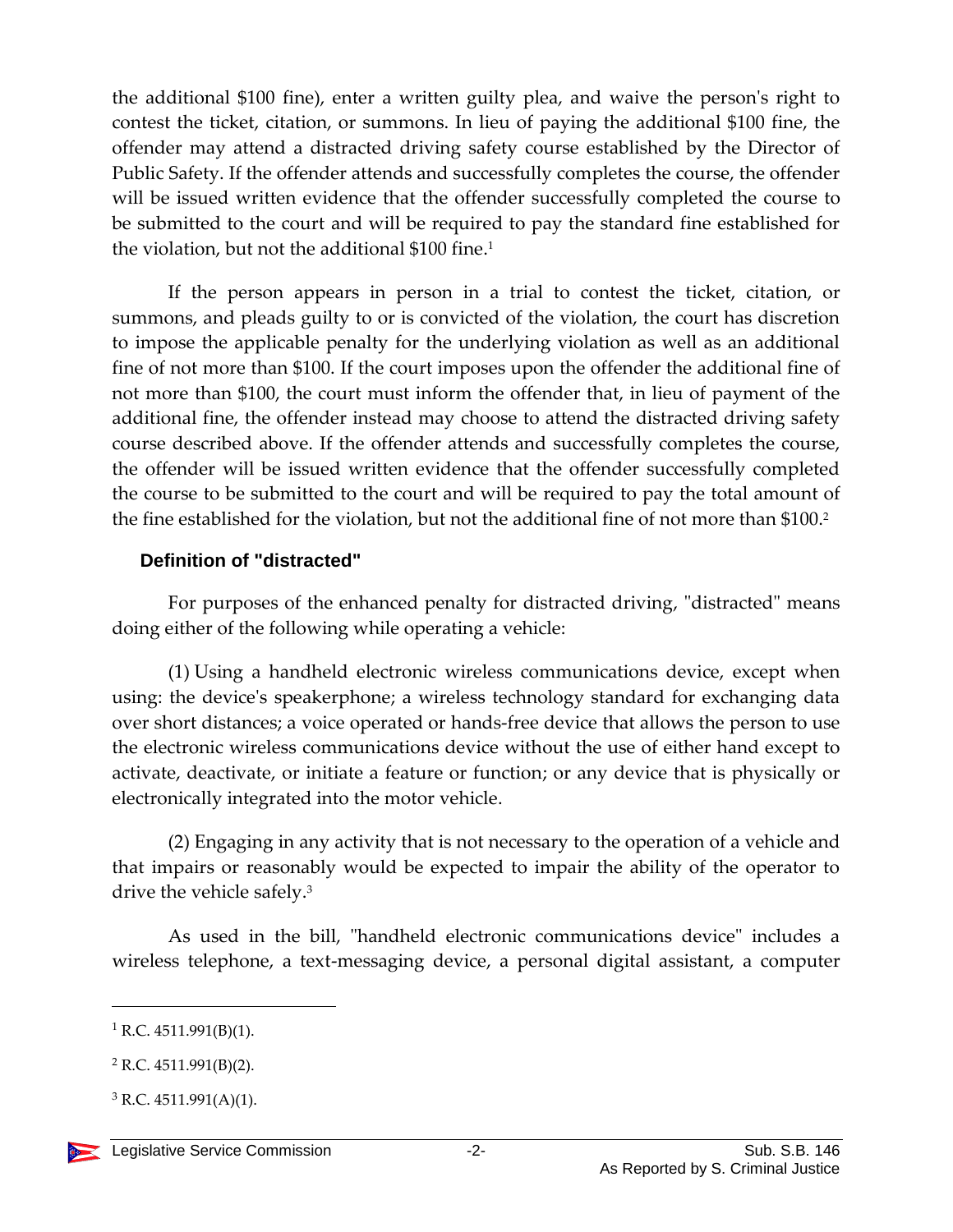the additional \$100 fine), enter a written guilty plea, and waive the person's right to contest the ticket, citation, or summons. In lieu of paying the additional \$100 fine, the offender may attend a distracted driving safety course established by the Director of Public Safety. If the offender attends and successfully completes the course, the offender will be issued written evidence that the offender successfully completed the course to be submitted to the court and will be required to pay the standard fine established for the violation, but not the additional \$100 fine.<sup>1</sup>

If the person appears in person in a trial to contest the ticket, citation, or summons, and pleads guilty to or is convicted of the violation, the court has discretion to impose the applicable penalty for the underlying violation as well as an additional fine of not more than \$100. If the court imposes upon the offender the additional fine of not more than \$100, the court must inform the offender that, in lieu of payment of the additional fine, the offender instead may choose to attend the distracted driving safety course described above. If the offender attends and successfully completes the course, the offender will be issued written evidence that the offender successfully completed the course to be submitted to the court and will be required to pay the total amount of the fine established for the violation, but not the additional fine of not more than \$100. 2

#### **Definition of "distracted"**

For purposes of the enhanced penalty for distracted driving, "distracted" means doing either of the following while operating a vehicle:

(1) Using a handheld electronic wireless communications device, except when using: the device's speakerphone; a wireless technology standard for exchanging data over short distances; a voice operated or hands-free device that allows the person to use the electronic wireless communications device without the use of either hand except to activate, deactivate, or initiate a feature or function; or any device that is physically or electronically integrated into the motor vehicle.

(2) Engaging in any activity that is not necessary to the operation of a vehicle and that impairs or reasonably would be expected to impair the ability of the operator to drive the vehicle safely.<sup>3</sup>

As used in the bill, "handheld electronic communications device" includes a wireless telephone, a text-messaging device, a personal digital assistant, a computer

l

 $1$  R.C. 4511.991(B)(1).

 $2$  R.C. 4511.991(B)(2).

 $3$  R.C. 4511.991(A)(1).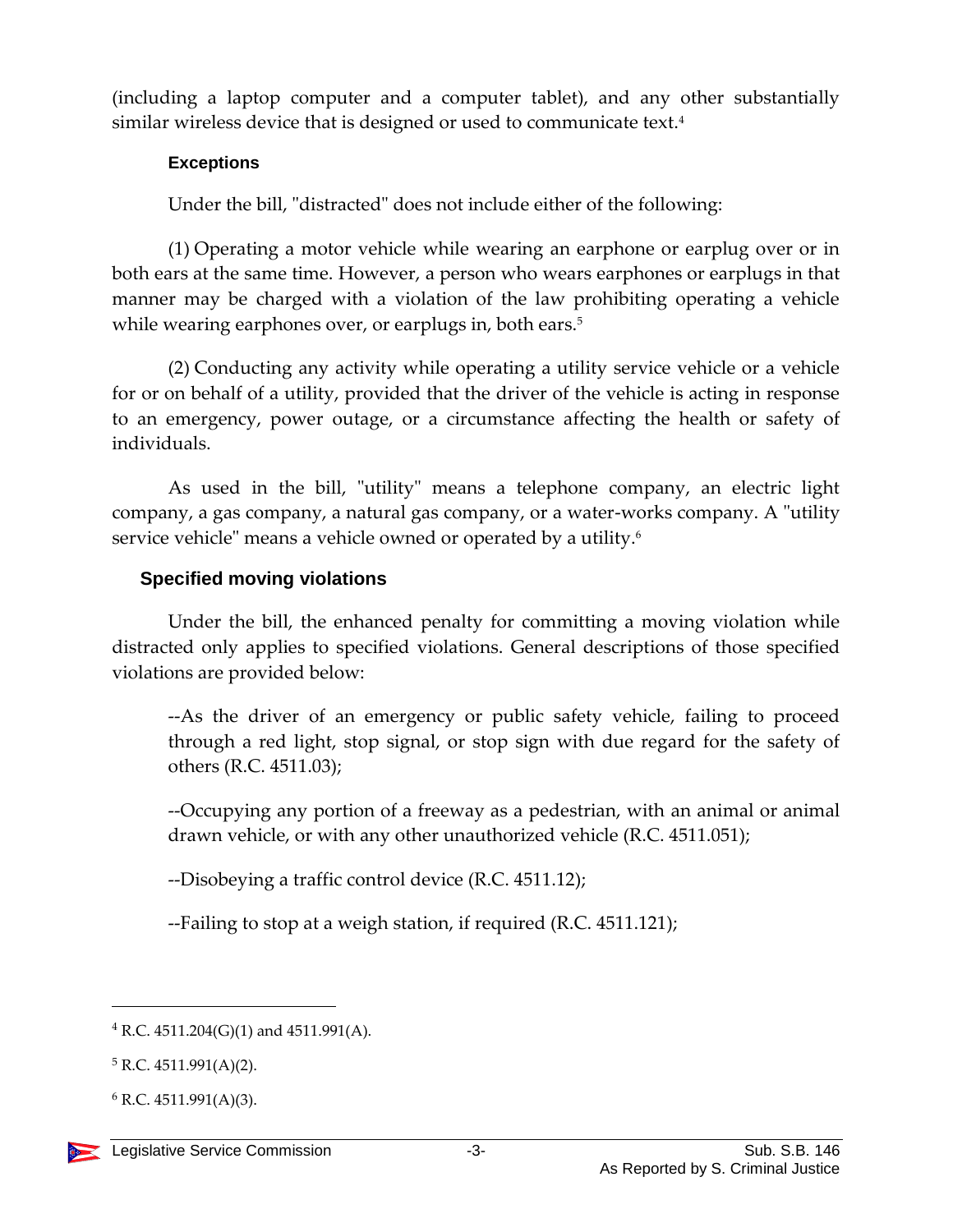(including a laptop computer and a computer tablet), and any other substantially similar wireless device that is designed or used to communicate text.<sup>4</sup>

#### **Exceptions**

Under the bill, "distracted" does not include either of the following:

(1) Operating a motor vehicle while wearing an earphone or earplug over or in both ears at the same time. However, a person who wears earphones or earplugs in that manner may be charged with a violation of the law prohibiting operating a vehicle while wearing earphones over, or earplugs in, both ears.<sup>5</sup>

(2) Conducting any activity while operating a utility service vehicle or a vehicle for or on behalf of a utility, provided that the driver of the vehicle is acting in response to an emergency, power outage, or a circumstance affecting the health or safety of individuals.

As used in the bill, "utility" means a telephone company, an electric light company, a gas company, a natural gas company, or a water-works company. A "utility service vehicle" means a vehicle owned or operated by a utility.<sup>6</sup>

#### **Specified moving violations**

Under the bill, the enhanced penalty for committing a moving violation while distracted only applies to specified violations. General descriptions of those specified violations are provided below:

--As the driver of an emergency or public safety vehicle, failing to proceed through a red light, stop signal, or stop sign with due regard for the safety of others (R.C. 4511.03);

--Occupying any portion of a freeway as a pedestrian, with an animal or animal drawn vehicle, or with any other unauthorized vehicle (R.C. 4511.051);

--Disobeying a traffic control device (R.C. 4511.12);

--Failing to stop at a weigh station, if required (R.C. 4511.121);

 $\overline{a}$ 

 $4$  R.C. 4511.204(G)(1) and 4511.991(A).

 $5 R.C. 4511.991(A)(2)$ .

 $6$  R.C. 4511.991(A)(3).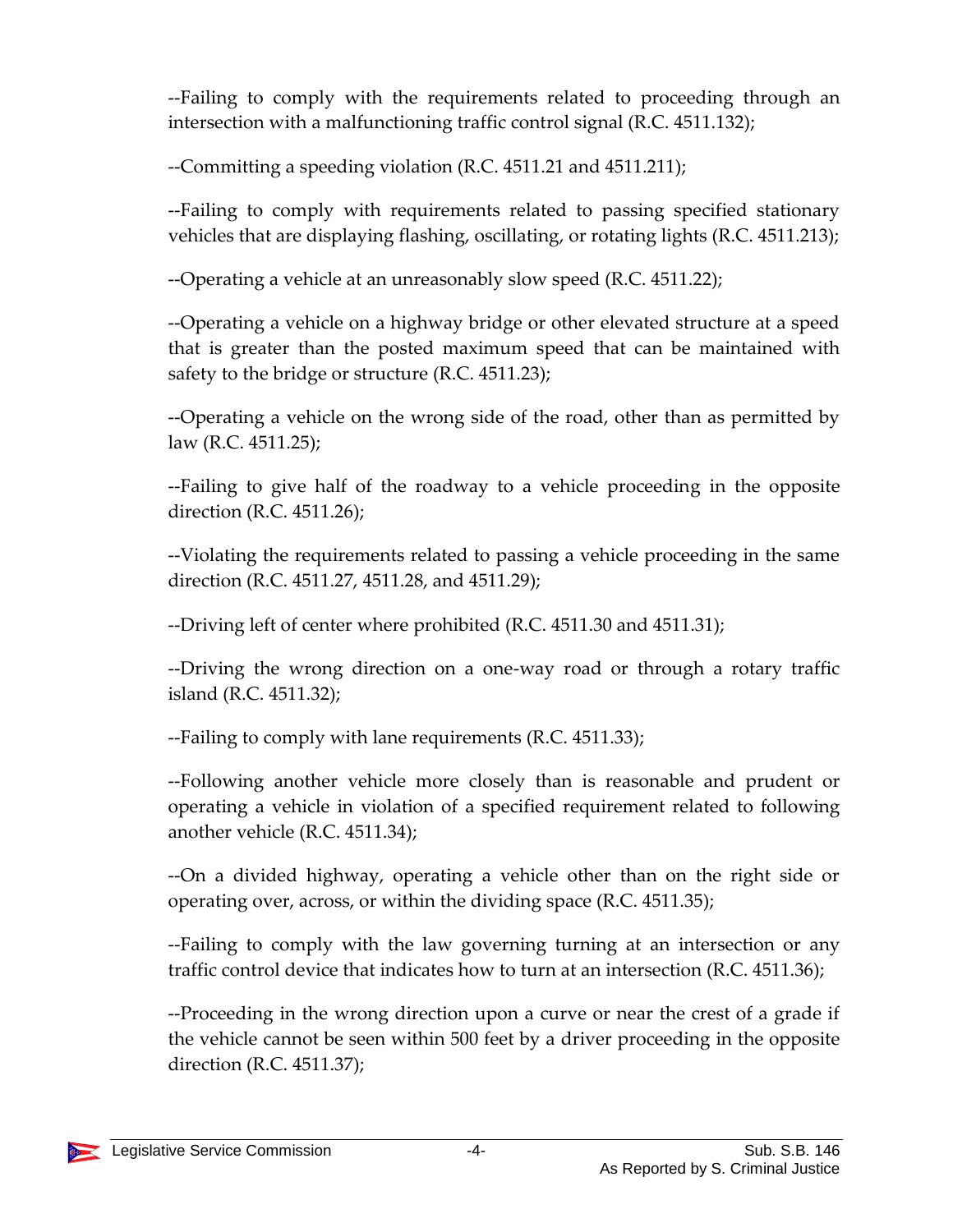--Failing to comply with the requirements related to proceeding through an intersection with a malfunctioning traffic control signal (R.C. 4511.132);

--Committing a speeding violation (R.C. 4511.21 and 4511.211);

--Failing to comply with requirements related to passing specified stationary vehicles that are displaying flashing, oscillating, or rotating lights (R.C. 4511.213);

--Operating a vehicle at an unreasonably slow speed (R.C. 4511.22);

--Operating a vehicle on a highway bridge or other elevated structure at a speed that is greater than the posted maximum speed that can be maintained with safety to the bridge or structure (R.C. 4511.23);

--Operating a vehicle on the wrong side of the road, other than as permitted by law (R.C. 4511.25);

--Failing to give half of the roadway to a vehicle proceeding in the opposite direction (R.C. 4511.26);

--Violating the requirements related to passing a vehicle proceeding in the same direction (R.C. 4511.27, 4511.28, and 4511.29);

--Driving left of center where prohibited (R.C. 4511.30 and 4511.31);

--Driving the wrong direction on a one-way road or through a rotary traffic island (R.C. 4511.32);

--Failing to comply with lane requirements (R.C. 4511.33);

--Following another vehicle more closely than is reasonable and prudent or operating a vehicle in violation of a specified requirement related to following another vehicle (R.C. 4511.34);

--On a divided highway, operating a vehicle other than on the right side or operating over, across, or within the dividing space (R.C. 4511.35);

--Failing to comply with the law governing turning at an intersection or any traffic control device that indicates how to turn at an intersection (R.C. 4511.36);

--Proceeding in the wrong direction upon a curve or near the crest of a grade if the vehicle cannot be seen within 500 feet by a driver proceeding in the opposite direction (R.C. 4511.37);

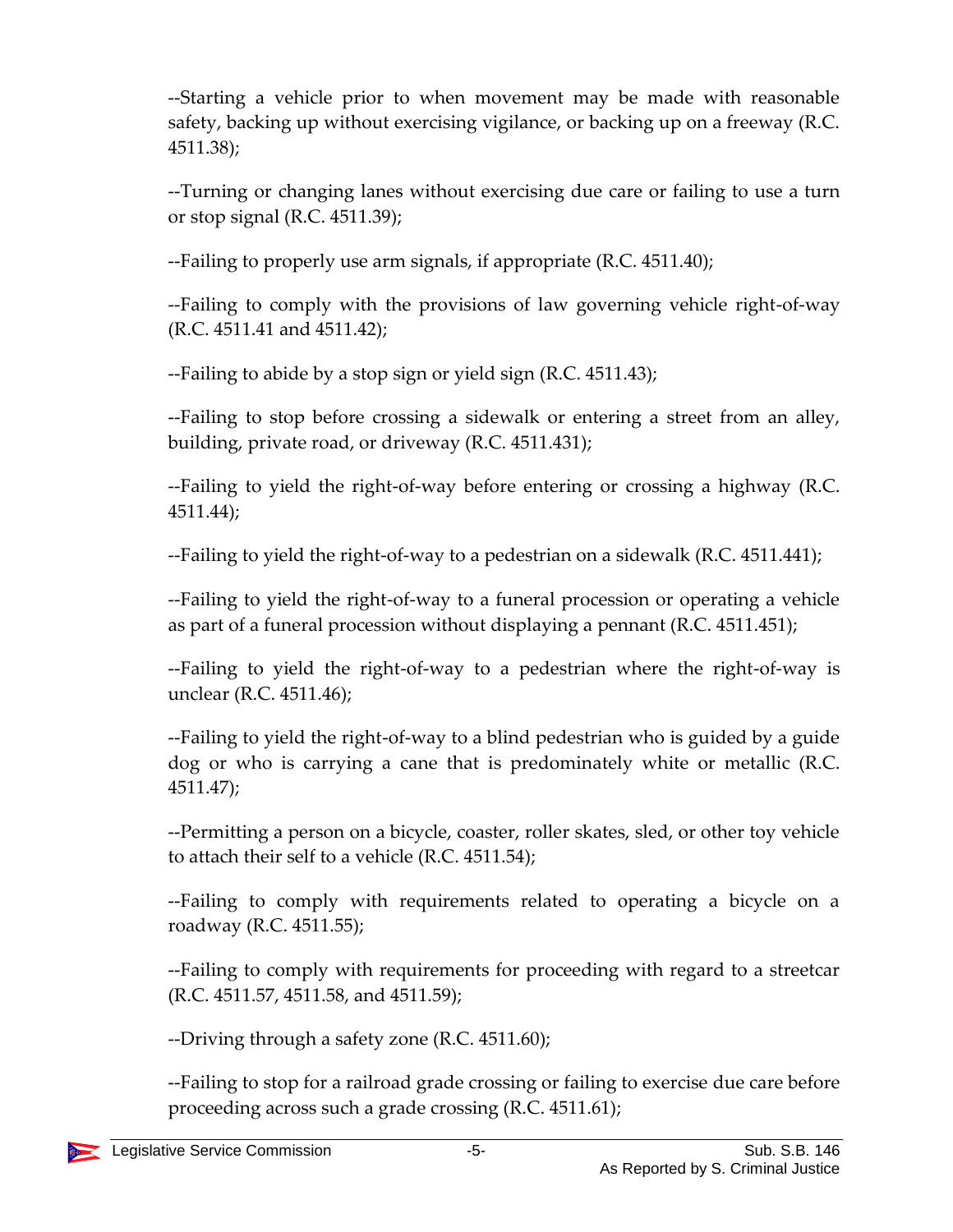--Starting a vehicle prior to when movement may be made with reasonable safety, backing up without exercising vigilance, or backing up on a freeway (R.C. 4511.38);

--Turning or changing lanes without exercising due care or failing to use a turn or stop signal (R.C. 4511.39);

--Failing to properly use arm signals, if appropriate (R.C. 4511.40);

--Failing to comply with the provisions of law governing vehicle right-of-way (R.C. 4511.41 and 4511.42);

--Failing to abide by a stop sign or yield sign (R.C. 4511.43);

--Failing to stop before crossing a sidewalk or entering a street from an alley, building, private road, or driveway (R.C. 4511.431);

--Failing to yield the right-of-way before entering or crossing a highway (R.C. 4511.44);

--Failing to yield the right-of-way to a pedestrian on a sidewalk (R.C. 4511.441);

--Failing to yield the right-of-way to a funeral procession or operating a vehicle as part of a funeral procession without displaying a pennant (R.C. 4511.451);

--Failing to yield the right-of-way to a pedestrian where the right-of-way is unclear (R.C. 4511.46);

--Failing to yield the right-of-way to a blind pedestrian who is guided by a guide dog or who is carrying a cane that is predominately white or metallic (R.C. 4511.47);

--Permitting a person on a bicycle, coaster, roller skates, sled, or other toy vehicle to attach their self to a vehicle (R.C. 4511.54);

--Failing to comply with requirements related to operating a bicycle on a roadway (R.C. 4511.55);

--Failing to comply with requirements for proceeding with regard to a streetcar (R.C. 4511.57, 4511.58, and 4511.59);

--Driving through a safety zone (R.C. 4511.60);

--Failing to stop for a railroad grade crossing or failing to exercise due care before proceeding across such a grade crossing (R.C. 4511.61);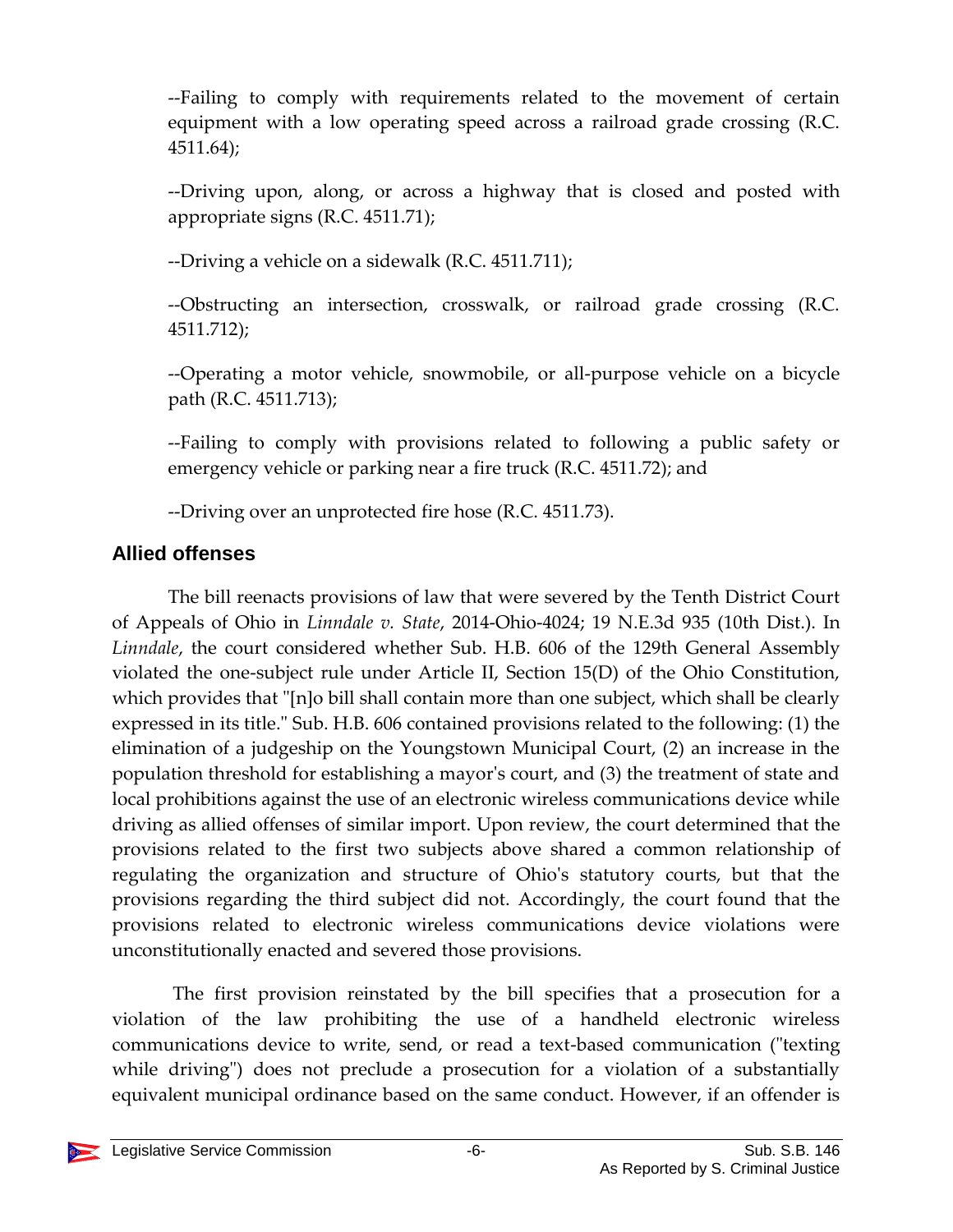--Failing to comply with requirements related to the movement of certain equipment with a low operating speed across a railroad grade crossing (R.C. 4511.64);

--Driving upon, along, or across a highway that is closed and posted with appropriate signs (R.C. 4511.71);

--Driving a vehicle on a sidewalk (R.C. 4511.711);

--Obstructing an intersection, crosswalk, or railroad grade crossing (R.C. 4511.712);

--Operating a motor vehicle, snowmobile, or all-purpose vehicle on a bicycle path (R.C. 4511.713);

--Failing to comply with provisions related to following a public safety or emergency vehicle or parking near a fire truck (R.C. 4511.72); and

--Driving over an unprotected fire hose (R.C. 4511.73).

### **Allied offenses**

The bill reenacts provisions of law that were severed by the Tenth District Court of Appeals of Ohio in *Linndale v. State*, 2014-Ohio-4024; 19 N.E.3d 935 (10th Dist.). In *Linndale*, the court considered whether Sub. H.B. 606 of the 129th General Assembly violated the one-subject rule under Article II, Section 15(D) of the Ohio Constitution, which provides that "[n]o bill shall contain more than one subject, which shall be clearly expressed in its title." Sub. H.B. 606 contained provisions related to the following: (1) the elimination of a judgeship on the Youngstown Municipal Court, (2) an increase in the population threshold for establishing a mayor's court, and (3) the treatment of state and local prohibitions against the use of an electronic wireless communications device while driving as allied offenses of similar import. Upon review, the court determined that the provisions related to the first two subjects above shared a common relationship of regulating the organization and structure of Ohio's statutory courts, but that the provisions regarding the third subject did not. Accordingly, the court found that the provisions related to electronic wireless communications device violations were unconstitutionally enacted and severed those provisions.

The first provision reinstated by the bill specifies that a prosecution for a violation of the law prohibiting the use of a handheld electronic wireless communications device to write, send, or read a text-based communication ("texting while driving") does not preclude a prosecution for a violation of a substantially equivalent municipal ordinance based on the same conduct. However, if an offender is